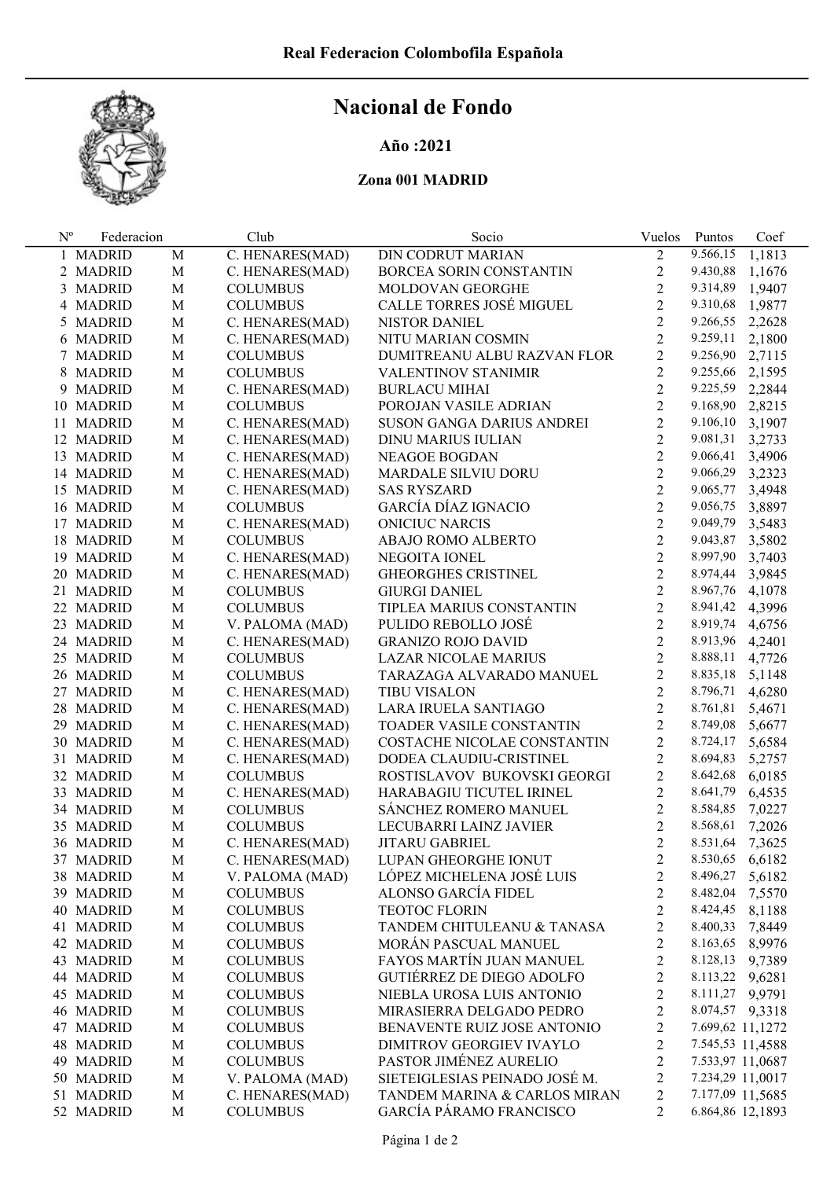

## Nacional de Fondo

## Año :2021

## Zona 001 MADRID

| $N^{\rm o}$ | Federacion |             | Club            | Socio                           | Vuelos         | Puntos           | Coef   |
|-------------|------------|-------------|-----------------|---------------------------------|----------------|------------------|--------|
|             | 1 MADRID   | M           | C. HENARES(MAD) | <b>DIN CODRUT MARIAN</b>        | $\overline{2}$ | 9.566,15         | 1,1813 |
|             | 2 MADRID   | $\mathbf M$ | C. HENARES(MAD) | BORCEA SORIN CONSTANTIN         | $\overline{c}$ | 9.430,88         | 1,1676 |
|             | 3 MADRID   | $\mathbf M$ | <b>COLUMBUS</b> | MOLDOVAN GEORGHE                | $\overline{2}$ | 9.314,89         | 1,9407 |
|             | 4 MADRID   | $\mathbf M$ | <b>COLUMBUS</b> | CALLE TORRES JOSÉ MIGUEL        | $\overline{2}$ | 9.310,68         | 1,9877 |
|             | 5 MADRID   | $\mathbf M$ | C. HENARES(MAD) | NISTOR DANIEL                   | $\overline{2}$ | 9.266,55         | 2,2628 |
|             | 6 MADRID   | $\mathbf M$ | C. HENARES(MAD) | NITU MARIAN COSMIN              | $\overline{2}$ | 9.259,11         | 2,1800 |
|             | 7 MADRID   | $\mathbf M$ | <b>COLUMBUS</b> | DUMITREANU ALBU RAZVAN FLOR     | $\overline{c}$ | 9.256,90         | 2,7115 |
|             | 8 MADRID   | $\mathbf M$ | <b>COLUMBUS</b> | <b>VALENTINOV STANIMIR</b>      | $\overline{2}$ | 9.255,66         | 2,1595 |
|             | 9 MADRID   | $\mathbf M$ | C. HENARES(MAD) | <b>BURLACU MIHAI</b>            | $\overline{2}$ | 9.225,59         | 2,2844 |
|             | 10 MADRID  | $\mathbf M$ | <b>COLUMBUS</b> | POROJAN VASILE ADRIAN           | $\overline{2}$ | 9.168,90         | 2,8215 |
|             | 11 MADRID  | $\mathbf M$ | C. HENARES(MAD) | SUSON GANGA DARIUS ANDREI       | $\overline{2}$ | 9.106,10         | 3,1907 |
|             | 12 MADRID  | $\mathbf M$ | C. HENARES(MAD) | DINU MARIUS IULIAN              | $\overline{2}$ | 9.081,31         | 3,2733 |
|             | 13 MADRID  | $\mathbf M$ | C. HENARES(MAD) | NEAGOE BOGDAN                   | $\overline{2}$ | 9.066,41         | 3,4906 |
|             | 14 MADRID  | $\mathbf M$ | C. HENARES(MAD) | MARDALE SILVIU DORU             | $\overline{2}$ | 9.066,29         | 3,2323 |
|             | 15 MADRID  | $\mathbf M$ | C. HENARES(MAD) | <b>SAS RYSZARD</b>              | $\overline{c}$ | 9.065,77         | 3,4948 |
|             | 16 MADRID  | $\mathbf M$ | <b>COLUMBUS</b> | GARCÍA DÍAZ IGNACIO             | $\overline{c}$ | 9.056,75         | 3,8897 |
|             | 17 MADRID  | M           | C. HENARES(MAD) | <b>ONICIUC NARCIS</b>           | $\overline{c}$ | 9.049,79         | 3,5483 |
|             | 18 MADRID  | M           | <b>COLUMBUS</b> | ABAJO ROMO ALBERTO              | $\overline{c}$ | 9.043,87         | 3,5802 |
|             | 19 MADRID  | M           | C. HENARES(MAD) | NEGOITA IONEL                   | $\overline{c}$ | 8.997,90         | 3,7403 |
|             | 20 MADRID  | M           | C. HENARES(MAD) | <b>GHEORGHES CRISTINEL</b>      | $\overline{c}$ | 8.974,44         | 3,9845 |
|             | 21 MADRID  | M           | <b>COLUMBUS</b> | <b>GIURGI DANIEL</b>            | $\overline{2}$ | 8.967,76         | 4,1078 |
|             | 22 MADRID  | M           | <b>COLUMBUS</b> | TIPLEA MARIUS CONSTANTIN        | $\overline{2}$ | 8.941,42         | 4,3996 |
|             | 23 MADRID  | M           | V. PALOMA (MAD) | PULIDO REBOLLO JOSÉ             | $\overline{2}$ | 8.919,74         | 4,6756 |
|             | 24 MADRID  | M           | C. HENARES(MAD) | <b>GRANIZO ROJO DAVID</b>       | $\overline{2}$ | 8.913,96         | 4,2401 |
|             | 25 MADRID  | M           | <b>COLUMBUS</b> | LAZAR NICOLAE MARIUS            | $\overline{c}$ | 8.888,11         | 4,7726 |
|             | 26 MADRID  | M           | <b>COLUMBUS</b> | TARAZAGA ALVARADO MANUEL        | $\overline{c}$ | 8.835,18         | 5,1148 |
|             | 27 MADRID  | M           | C. HENARES(MAD) | <b>TIBU VISALON</b>             | $\overline{c}$ | 8.796,71         | 4,6280 |
|             | 28 MADRID  | M           | C. HENARES(MAD) | LARA IRUELA SANTIAGO            | $\overline{c}$ | 8.761,81         | 5,4671 |
|             | 29 MADRID  | M           | C. HENARES(MAD) | <b>TOADER VASILE CONSTANTIN</b> | $\overline{c}$ | 8.749,08         | 5,6677 |
|             | 30 MADRID  | M           | C. HENARES(MAD) | COSTACHE NICOLAE CONSTANTIN     | $\overline{c}$ | 8.724,17         | 5,6584 |
|             | 31 MADRID  | M           | C. HENARES(MAD) | DODEA CLAUDIU-CRISTINEL         | $\overline{c}$ | 8.694,83         | 5,2757 |
|             | 32 MADRID  | M           | <b>COLUMBUS</b> | ROSTISLAVOV BUKOVSKI GEORGI     | $\overline{2}$ | 8.642,68         | 6,0185 |
|             | 33 MADRID  | M           | C. HENARES(MAD) | HARABAGIU TICUTEL IRINEL        | $\overline{2}$ | 8.641,79         | 6,4535 |
|             | 34 MADRID  | M           | <b>COLUMBUS</b> | SÁNCHEZ ROMERO MANUEL           | $\sqrt{2}$     | 8.584,85         | 7,0227 |
|             | 35 MADRID  | $\mathbf M$ | <b>COLUMBUS</b> | LECUBARRI LAINZ JAVIER          | $\overline{2}$ | 8.568,61         | 7,2026 |
|             | 36 MADRID  | $\mathbf M$ | C. HENARES(MAD) | <b>JITARU GABRIEL</b>           | $\overline{2}$ | 8.531,64         | 7,3625 |
|             | 37 MADRID  | M           | C. HENARES(MAD) | LUPAN GHEORGHE IONUT            | $\overline{c}$ | 8.530,65         | 6,6182 |
|             | 38 MADRID  | M           | V. PALOMA (MAD) | LÓPEZ MICHELENA JOSÉ LUIS       | $\overline{c}$ | 8.496,27         | 5,6182 |
|             | 39 MADRID  | $\mathbf M$ | <b>COLUMBUS</b> | ALONSO GARCÍA FIDEL             | $\overline{c}$ | 8.482,04         | 7,5570 |
|             | 40 MADRID  | $\mathbf M$ | <b>COLUMBUS</b> | <b>TEOTOC FLORIN</b>            | $\overline{2}$ | 8.424,45         | 8,1188 |
|             | 41 MADRID  | $\mathbf M$ | <b>COLUMBUS</b> | TANDEM CHITULEANU & TANASA      | $\overline{c}$ | 8.400,33         | 7,8449 |
|             | 42 MADRID  | $\mathbf M$ | <b>COLUMBUS</b> | MORÁN PASCUAL MANUEL            | $\overline{2}$ | 8.163,65         | 8,9976 |
|             | 43 MADRID  | $\mathbf M$ | <b>COLUMBUS</b> | FAYOS MARTÍN JUAN MANUEL        | $\overline{c}$ | 8.128,13         | 9,7389 |
|             | 44 MADRID  | M           | <b>COLUMBUS</b> | GUTIÉRREZ DE DIEGO ADOLFO       | $\overline{c}$ | 8.113,22         | 9,6281 |
|             | 45 MADRID  | M           | <b>COLUMBUS</b> | NIEBLA UROSA LUIS ANTONIO       | $\overline{c}$ | 8.111,27 9,9791  |        |
|             | 46 MADRID  | $\mathbf M$ | <b>COLUMBUS</b> | MIRASIERRA DELGADO PEDRO        | $\overline{c}$ | 8.074,57 9,3318  |        |
|             | 47 MADRID  | $\mathbf M$ | <b>COLUMBUS</b> | BENAVENTE RUIZ JOSE ANTONIO     | $\overline{c}$ | 7.699,62 11,1272 |        |
|             | 48 MADRID  | $\mathbf M$ | <b>COLUMBUS</b> | DIMITROV GEORGIEV IVAYLO        | $\overline{c}$ | 7.545,53 11,4588 |        |
|             | 49 MADRID  | $\mathbf M$ | <b>COLUMBUS</b> | PASTOR JIMÉNEZ AURELIO          | $\overline{c}$ | 7.533,97 11,0687 |        |
|             | 50 MADRID  | M           | V. PALOMA (MAD) | SIETEIGLESIAS PEINADO JOSÉ M.   | $\overline{c}$ | 7.234,29 11,0017 |        |
|             | 51 MADRID  | $\mathbf M$ | C. HENARES(MAD) | TANDEM MARINA & CARLOS MIRAN    | $\overline{c}$ | 7.177,09 11,5685 |        |
|             | 52 MADRID  | M           | <b>COLUMBUS</b> | GARCÍA PÁRAMO FRANCISCO         | $\overline{2}$ | 6.864,86 12,1893 |        |
|             |            |             |                 |                                 |                |                  |        |